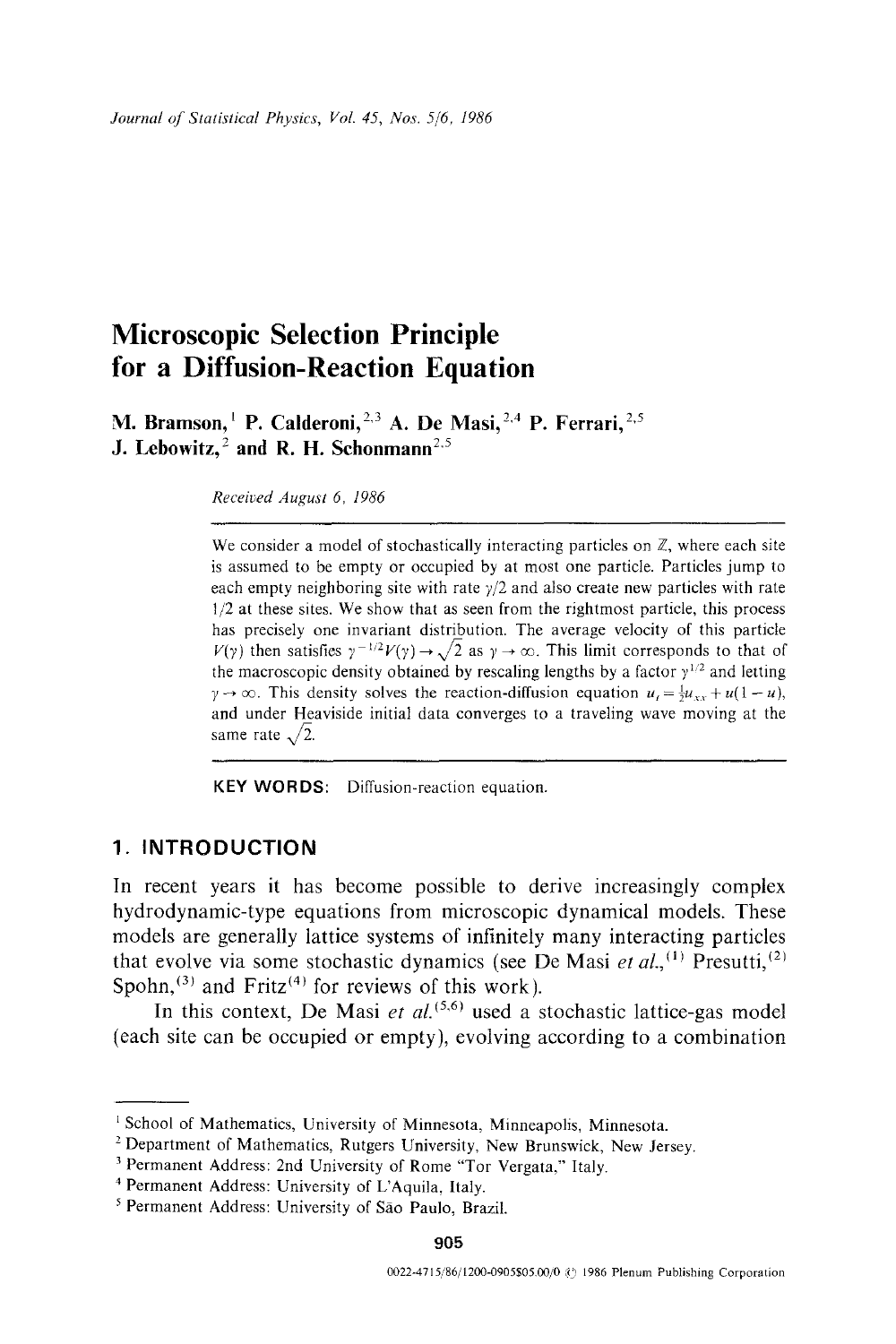# **Microscopic Selection Principle for a Diffusion-Reaction Equation**

**M. Bramson, <sup>1</sup> P. Calderoni, <sup>2,3</sup> A. De Masi, <sup>2,4</sup> P. Ferrari, <sup>2,5</sup> J. Lebowitz, <sup>2</sup> and R. H. Schonmann<sup>2,5</sup>** 

*Received August 6, 1986* 

We consider a model of stochastically interacting particles on  $\mathbb{Z}$ , where each site is assumed to be empty or occupied by at most one particle. Particles jump to each empty neighboring site with rate  $\gamma/2$  and also create new particles with rate 1/2 at these sites. We show that as seen from the rightmost particle, this process has precisely one invariant distribution. The average velocity of this particle  $V(\gamma)$  then satisfies  $\gamma^{-1/2}V(\gamma) \to \sqrt{2}$  as  $\gamma \to \infty$ . This limit corresponds to that of the macroscopic density obtained by rescaling lengths by a factor  $\gamma^{1/2}$  and letting  $y \to \infty$ . This density solves the reaction-diffusion equation  $u_t = \frac{1}{2}u_{xx} + u(1-u)$ , and under Heaviside initial data converges to a traveling wave moving at the same rate  $\sqrt{2}$ .

KEY WORDS: Diffusion-reaction equation.

# **1. INTRODUCTION**

In recent years it has become possible to derive increasingly complex hydrodynamic-type equations from microscopic dynamical models. These models are generally lattice systems of infinitely many interacting particles that evolve via some stochastic dynamics (see De Masi *et al.*, <sup>(1)</sup> Presutti, <sup>(2)</sup> Spohn,  $(3)$  and Fritz<sup> $(4)$ </sup> for reviews of this work).

In this context, De Masi *et al.*<sup>(5,6)</sup> used a stochastic lattice-gas model (each site can be occupied or empty), evolving according to a combination

<sup>&</sup>lt;sup>1</sup> School of Mathematics, University of Minnesota, Minneapolis, Minnesota.

<sup>&</sup>lt;sup>2</sup> Department of Mathematics, Rutgers University, New Brunswick, New Jersey.

<sup>3</sup> Permanent Address: 2nd University of Rome "Tor Vergata," Italy.

<sup>4</sup> Permanent Address: University of L'Aquila, Italy.

<sup>5</sup> Permanent Address: University of Sao Paulo, Brazil.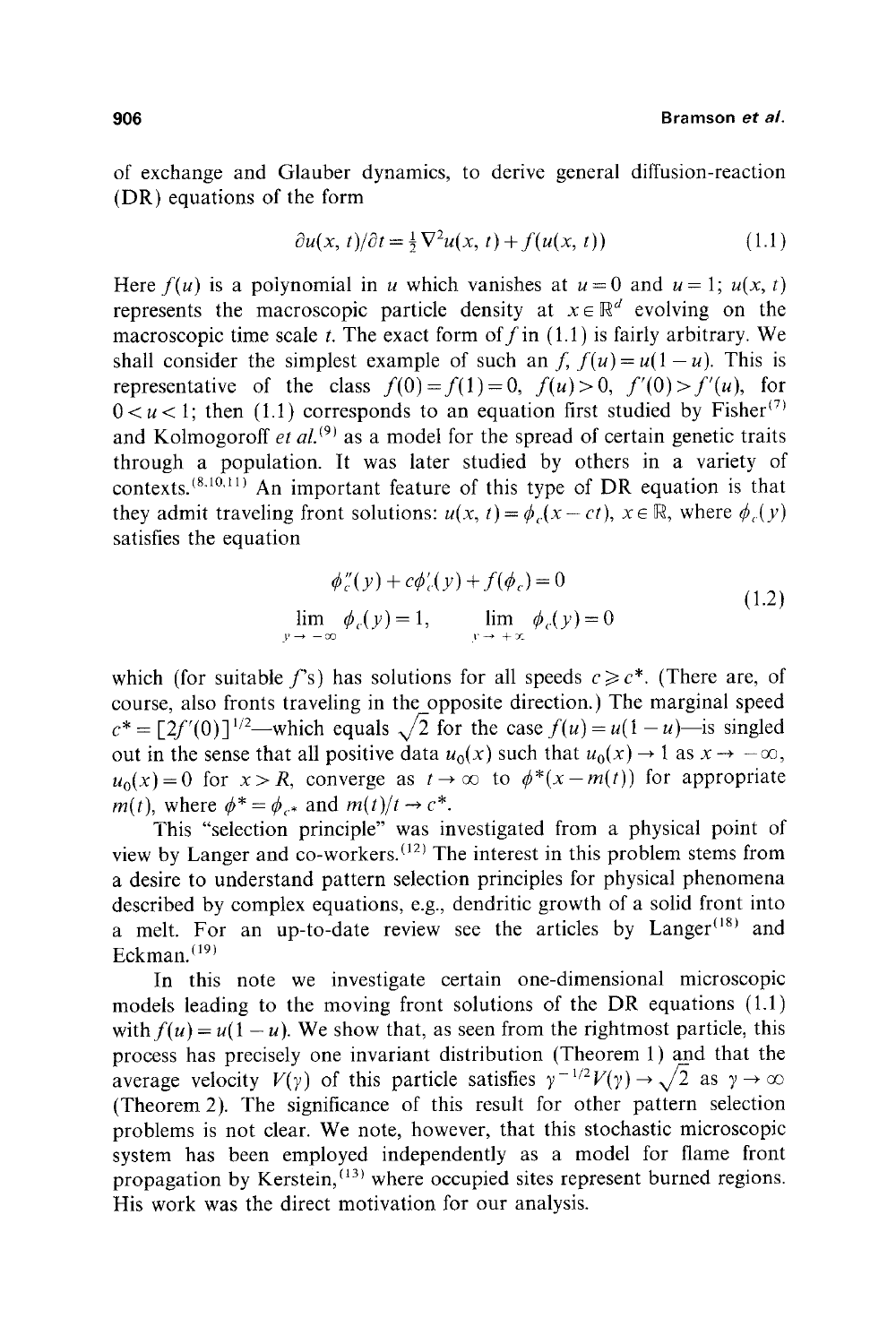of exchange and Glauber dynamics, to derive general diffusion-reaction (DR) equations of the form

$$
\partial u(x, t)/\partial t = \frac{1}{2}\nabla^2 u(x, t) + f(u(x, t))\tag{1.1}
$$

Here  $f(u)$  is a polynomial in u which vanishes at  $u=0$  and  $u=1$ ;  $u(x, t)$ represents the macroscopic particle density at  $x \in \mathbb{R}^d$  evolving on the macroscopic time scale t. The exact form of f in  $(1.1)$  is fairly arbitrary. We shall consider the simplest example of such an *f*,  $f(u) = u(1-u)$ . This is representative of the class  $f(0) = f(1) = 0$ ,  $f(u) > 0$ ,  $f'(0) > f'(u)$ , for  $0 < u < 1$ ; then (1.1) corresponds to an equation first studied by Fisher<sup>(7)</sup> and Kolmogoroff  $et al.^{(9)}$  as a model for the spread of certain genetic traits through a population. It was later studied by others in a variety of contexts.  $(8.10,11)$  An important feature of this type of DR equation is that they admit traveling front solutions:  $u(x, t) = \phi(x-ct)$ ,  $x \in \mathbb{R}$ , where  $\phi_c(y)$ satisfies the equation

$$
\phi''_c(y) + c\phi'_c(y) + f(\phi_c) = 0
$$
  
\n
$$
\lim_{y \to -\infty} \phi_c(y) = 1, \qquad \lim_{y \to +\infty} \phi_c(y) = 0
$$
\n(1.2)

which (for suitable f's) has solutions for all speeds  $c \geq c^*$ . (There are, of course, also fronts traveling in the opposite direction.) The marginal speed  $c^* = [2f'(0)]^{1/2}$ —which equals  $\sqrt{2}$  for the case  $f(u) = u(1-u)$ —is singled out in the sense that all positive data  $u_0(x)$  such that  $u_0(x) \rightarrow 1$  as  $x \rightarrow -\infty$ ,  $u_0(x)=0$  for  $x>R$ , converge as  $t\to\infty$  to  $\phi^*(x-m(t))$  for appropriate *m(t),* where  $\phi^* = \phi_{\alpha^*}$  and  $m(t)/t \rightarrow c^*$ .

This "selection principle" was investigated from a physical point of view by Langer and co-workers. (12) The interest in this problem stems from a desire to understand pattern selection principles for physical phenomena described by complex equations, e.g., dendritic growth of a solid front into a melt. For an up-to-date review see the articles by Langer<sup>(18)</sup> and Eckman. $(19)$ 

In this note we investigate certain one-dimensional microscopic models leading to the moving front solutions of the DR equations (1.1) with  $f(u) = u(1 - u)$ . We show that, as seen from the rightmost particle, this process has precisely one invariant distribution (Theorem 1) and that the average velocity  $V(y)$  of this particle satisfies  $y^{-1/2}V(y) \rightarrow \sqrt{2}$  as  $y \rightarrow \infty$ (Theorem 2). The significance of this result for other pattern selection problems is not clear. We note, however, that this stochastic microscopic system has been employed independently as a model for flame front propagation by Kerstein,  $(13)$  where occupied sites represent burned regions. His work was the direct motivation for our analysis.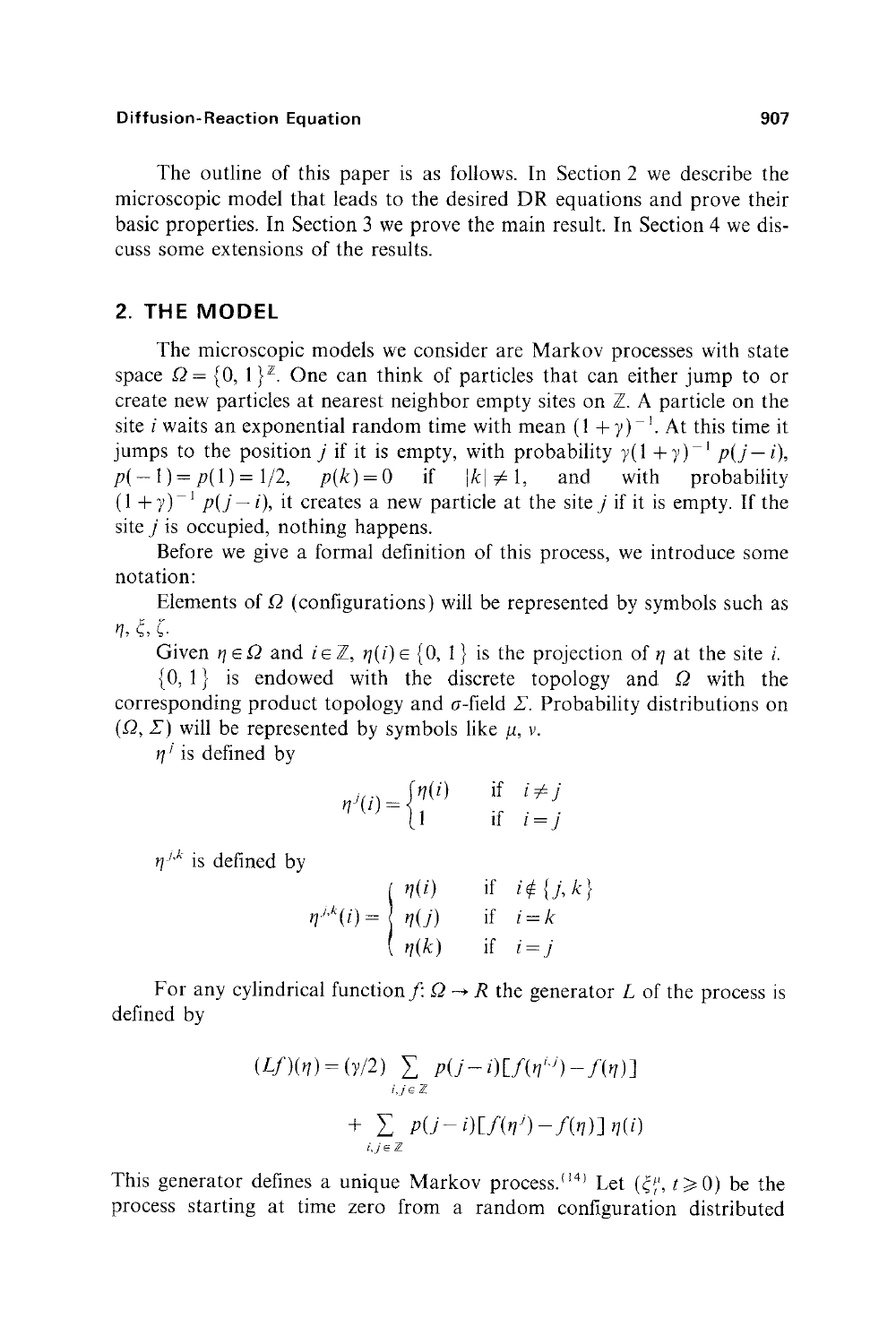The outline of this paper is as follows. In Section 2 we describe the microscopic model that leads to the desired DR equations and prove their basic properties. In Section 3 we prove the main result. In Section 4 we discuss some extensions of the results.

# **2. THE MODEL**

The microscopic models we consider are Markov processes with state space  $\Omega = \{0, 1\}^{\mathbb{Z}}$ . One can think of particles that can either jump to or create new particles at nearest neighbor empty sites on  $\mathbb{Z}$ . A particle on the site *i* waits an exponential random time with mean  $(1 + \gamma)^{-1}$ . At this time it jumps to the position *j* if it is empty, with probability  $\gamma(1 + \gamma)^{-1} p(j - i)$ ,  $p(-1) = p(1) = 1/2$ ,  $p(k) = 0$  if  $|k| \neq 1$ , and with probability  $(1 + \gamma)^{-1} p(j - i)$ , it creates a new particle at the site j if it is empty. If the site  $j$  is occupied, nothing happens.

Before we give a formal definition of this process, we introduce some notation:

Elements of  $\Omega$  (configurations) will be represented by symbols such as  $n, \xi, \zeta$ .

Given  $\eta \in \Omega$  and  $i \in \mathbb{Z}$ ,  $\eta(i) \in \{0, 1\}$  is the projection of  $\eta$  at the site i.

 $\{0, 1\}$  is endowed with the discrete topology and  $\Omega$  with the corresponding product topology and  $\sigma$ -field  $\Sigma$ . Probability distributions on  $(\Omega, \Sigma)$  will be represented by symbols like  $\mu$ , v.

 $n^{j}$  is defined by

$$
\eta^{j}(i) = \begin{cases} \eta(i) & \text{if } i \neq j \\ 1 & \text{if } i = j \end{cases}
$$

 $n^{j,k}$  is defined by

$$
\eta^{j,k}(i) = \begin{cases} \eta(i) & \text{if } i \notin \{j,k\} \\ \eta(j) & \text{if } i = k \\ \eta(k) & \text{if } i = j \end{cases}
$$

For any cylindrical function  $f: \Omega \to R$  the generator L of the process is defined by

$$
(Lf)(\eta) = (\gamma/2) \sum_{i,j \in \mathbb{Z}} p(j-i) [f(\eta^{i,j}) - f(\eta)]
$$

$$
+ \sum_{i,j \in \mathbb{Z}} p(j-i) [f(\eta^{j}) - f(\eta)] \eta(i)
$$

This generator defines a unique Markov process.<sup>(14)</sup> Let  $(\xi_i^{\mu}, t \ge 0)$  be the process starting at time zero from a random configuration distributed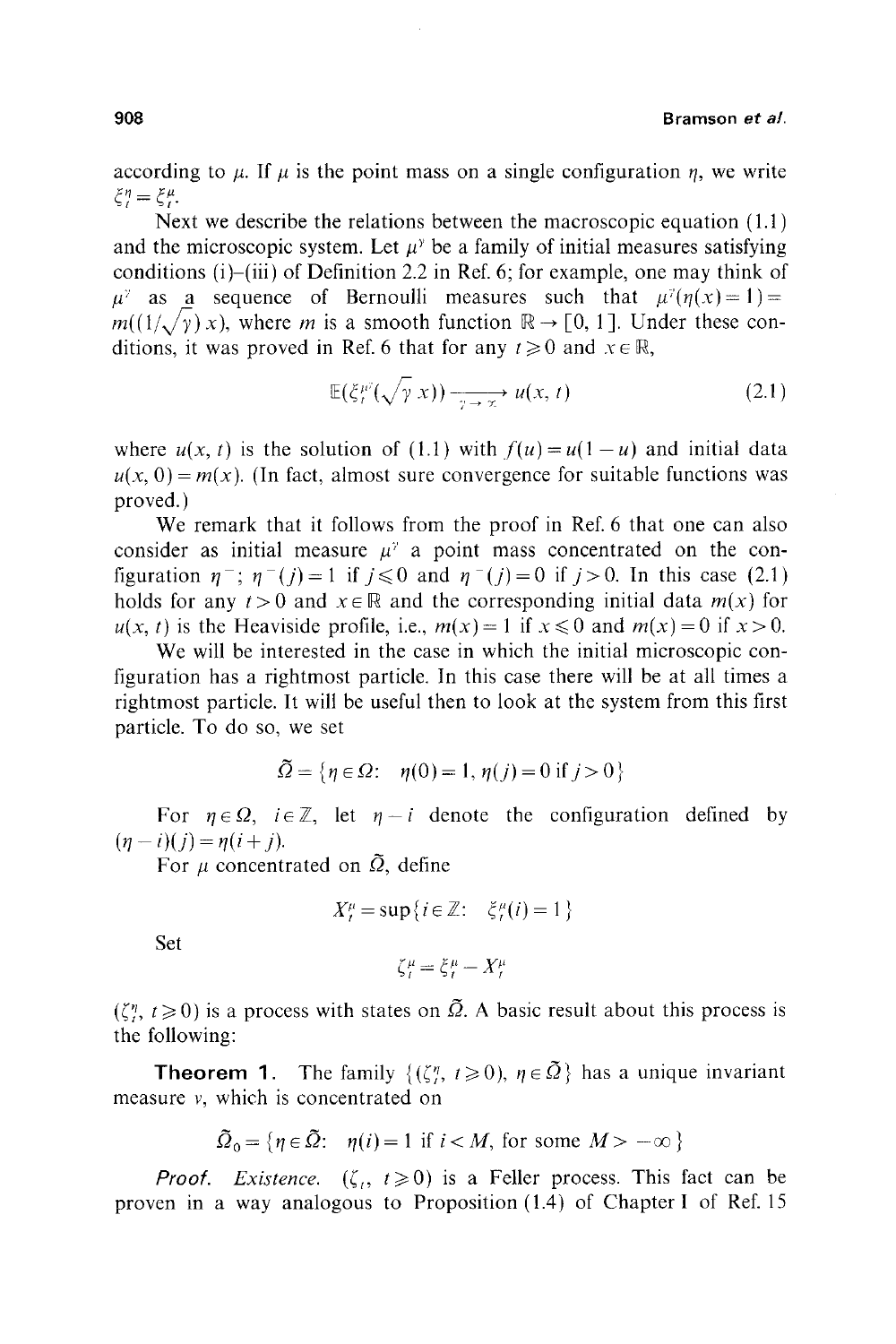according to  $\mu$ . If  $\mu$  is the point mass on a single configuration  $\eta$ , we write  $\xi_{l}^{\eta} = \xi_{l}^{\mu}$ .

Next we describe the relations between the macroscopic equation (1.1) and the microscopic system. Let  $\mu^{\gamma}$  be a family of initial measures satisfying conditions (i)-(iii) of Definition 2.2 in Ref. 6; for example, one may think of  $\mu^{\gamma}$  as a sequence of Bernoulli measures such that  $\mu^{\gamma}(\eta(x)=1)=$  $m((1/\sqrt{\gamma}) x)$ , where *m* is a smooth function  $\mathbb{R} \to [0, 1]$ . Under these conditions, it was proved in Ref. 6 that for any  $t \ge 0$  and  $x \in \mathbb{R}$ ,

$$
\mathbb{E}(\xi_t^{\mu^2}(\sqrt{\gamma} x)) \xrightarrow[\gamma \to \infty]{} u(x, t) \tag{2.1}
$$

where  $u(x, t)$  is the solution of (1.1) with  $f(u) = u(1-u)$  and initial data  $u(x, 0) = m(x)$ . (In fact, almost sure convergence for suitable functions was proved.)

We remark that it follows from the proof in Ref. 6 that one can also consider as initial measure  $\mu^{\gamma}$  a point mass concentrated on the configuration  $\eta^-$ ;  $\eta^-$  (j) = 1 if j less 0 and  $\eta^-$  (j) = 0 if j > 0. In this case (2.1) holds for any  $t > 0$  and  $x \in \mathbb{R}$  and the corresponding initial data  $m(x)$  for  $u(x, t)$  is the Heaviside profile, i.e.,  $m(x) = 1$  if  $x \le 0$  and  $m(x) = 0$  if  $x > 0$ .

We will be interested in the case in which the initial microscopic configuration has a rightmost particle. In this case there will be at all times a rightmost particle. It will be useful then to look at the system from this first particle. To do so, we set

$$
\tilde{\Omega} = \{ \eta \in \Omega : \eta(0) = 1, \eta(j) = 0 \text{ if } j > 0 \}
$$

For  $\eta \in \Omega$ ,  $i \in \mathbb{Z}$ , let  $\eta - i$  denote the configuration defined by  $(\eta - i)(j) = \eta(i + j).$ 

For  $\mu$  concentrated on  $\tilde{\Omega}$ , define

$$
X_t^{\mu} = \sup\{i \in \mathbb{Z} : \xi_t^{\mu}(i) = 1\}
$$

Set

$$
\zeta_t^{\mu} = \xi_t^{\mu} - X_t^{\mu}
$$

 $({\zeta}_i^n, t \geq 0)$  is a process with states on  $\tilde{\Omega}$ . A basic result about this process is the following:

**Theorem 1.** The family  $\{(\zeta_i^n, t \ge 0), \eta \in \tilde{\Omega}\}\)$  has a unique invariant measure v, which is concentrated on

$$
\tilde{\Omega}_0 = \{ \eta \in \tilde{\Omega} : \eta(i) = 1 \text{ if } i < M, \text{ for some } M > -\infty \}
$$

*Proof. Existence.*  $(\zeta, t \ge 0)$  is a Feller process. This fact can be proven in a way analogous to Proposition (1.4) of Chapter I of Ref. 15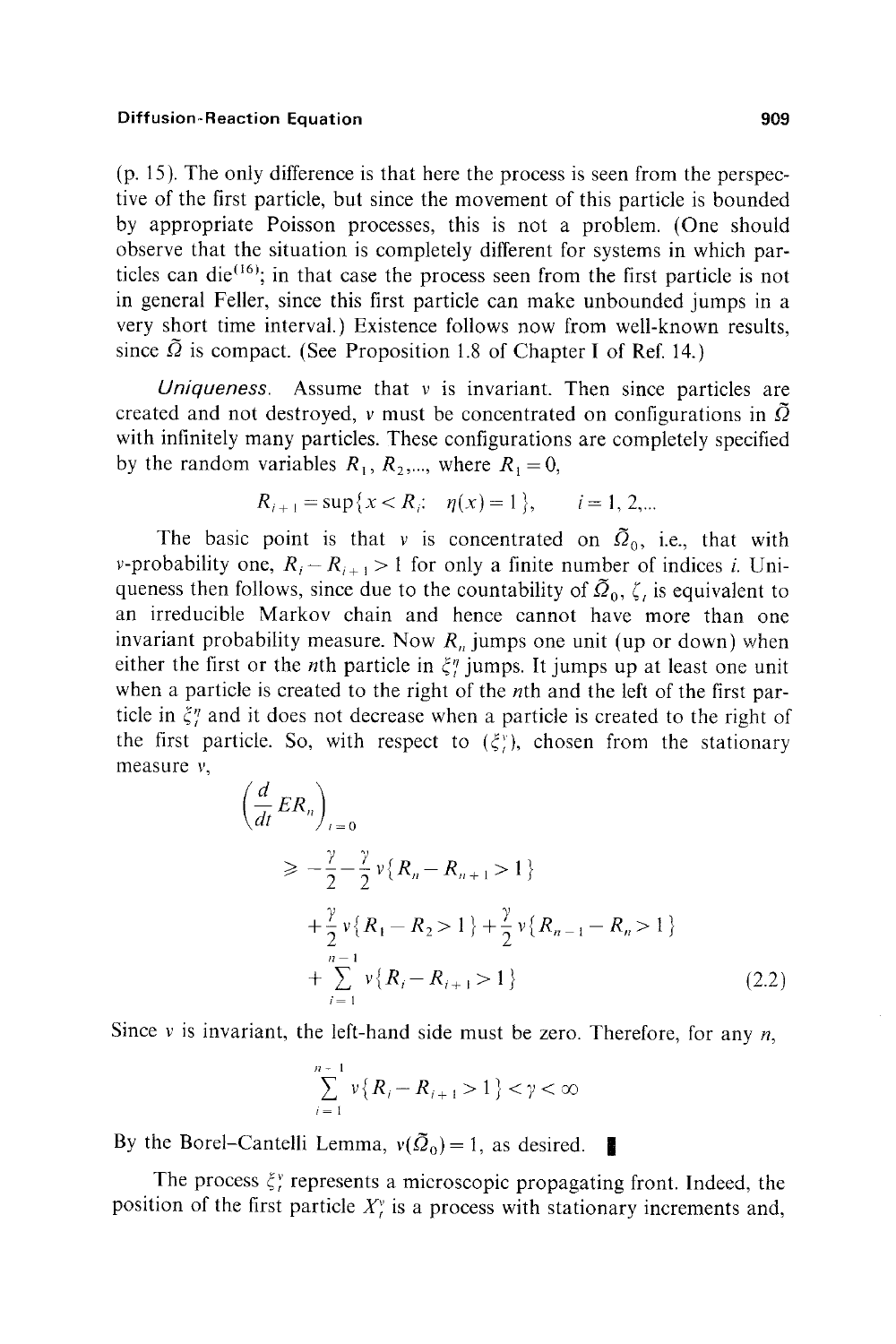(p. 15). The only difference is that here the process is seen from the perspective of the first particle, but since the movement of this particle is bounded by appropriate Poisson processes, this is not a problem. (One should observe that the situation is completely different for systems in which particles can die<sup>(16)</sup>; in that case the process seen from the first particle is not in general Feller, since this first particle can make unbounded jumps in a very short time interval.) Existence follows now from well-known results, since  $\tilde{\Omega}$  is compact. (See Proposition 1.8 of Chapter I of Ref. 14.)

*Uniqueness.* Assume that v is invariant. Then since particles are created and not destroyed, v must be concentrated on configurations in  $\Omega$ with infinitely many particles. These configurations are completely specified by the random variables  $R_1, R_2, \dots$ , where  $R_1 = 0$ ,

$$
R_{i+1} = \sup\{x < R_i; \quad \eta(x) = 1\}, \qquad i = 1, 2, \dots
$$

The basic point is that v is concentrated on  $\tilde{Q}_0$ , i.e., that with v-probability one,  $R_i - R_{i+1} > 1$  for only a finite number of indices i. Uniqueness then follows, since due to the countability of  $\tilde{Q}_0$ ,  $\zeta$ , is equivalent to an irreducible Markov chain and hence cannot have more than one invariant probability measure. Now  $R_n$  jumps one unit (up or down) when either the first or the *n*th particle in  $\xi_i$  jumps. It jumps up at least one unit when a particle is created to the right of the *n*th and the left of the first particle in  $\zeta_i^n$  and it does not decrease when a particle is created to the right of the first particle. So, with respect to  $(\xi_i^{\nu})$ , chosen from the stationary measure v,

$$
\left(\frac{d}{dt} ER_n\right)_{t=0}
$$
\n
$$
\geq -\frac{\gamma}{2} - \frac{\gamma}{2} \nu \{R_n - R_{n+1} > 1\}
$$
\n
$$
+ \frac{\gamma}{2} \nu \{R_1 - R_2 > 1\} + \frac{\gamma}{2} \nu \{R_{n-1} - R_n > 1\}
$$
\n
$$
+ \sum_{i=1}^{n-1} \nu \{R_i - R_{i+1} > 1\}
$$
\n(2.2)

Since v is invariant, the left-hand side must be zero. Therefore, for any  $n$ ,

$$
\sum_{i=1}^{n-1} v\{R_i - R_{i+1} > 1\} < \gamma < \infty
$$

By the Borel-Cantelli Lemma,  $v(\tilde{Q}_0) = 1$ , as desired.

The process  $\xi_i^v$  represents a microscopic propagating front. Indeed, the position of the first particle  $X_t^v$  is a process with stationary increments and,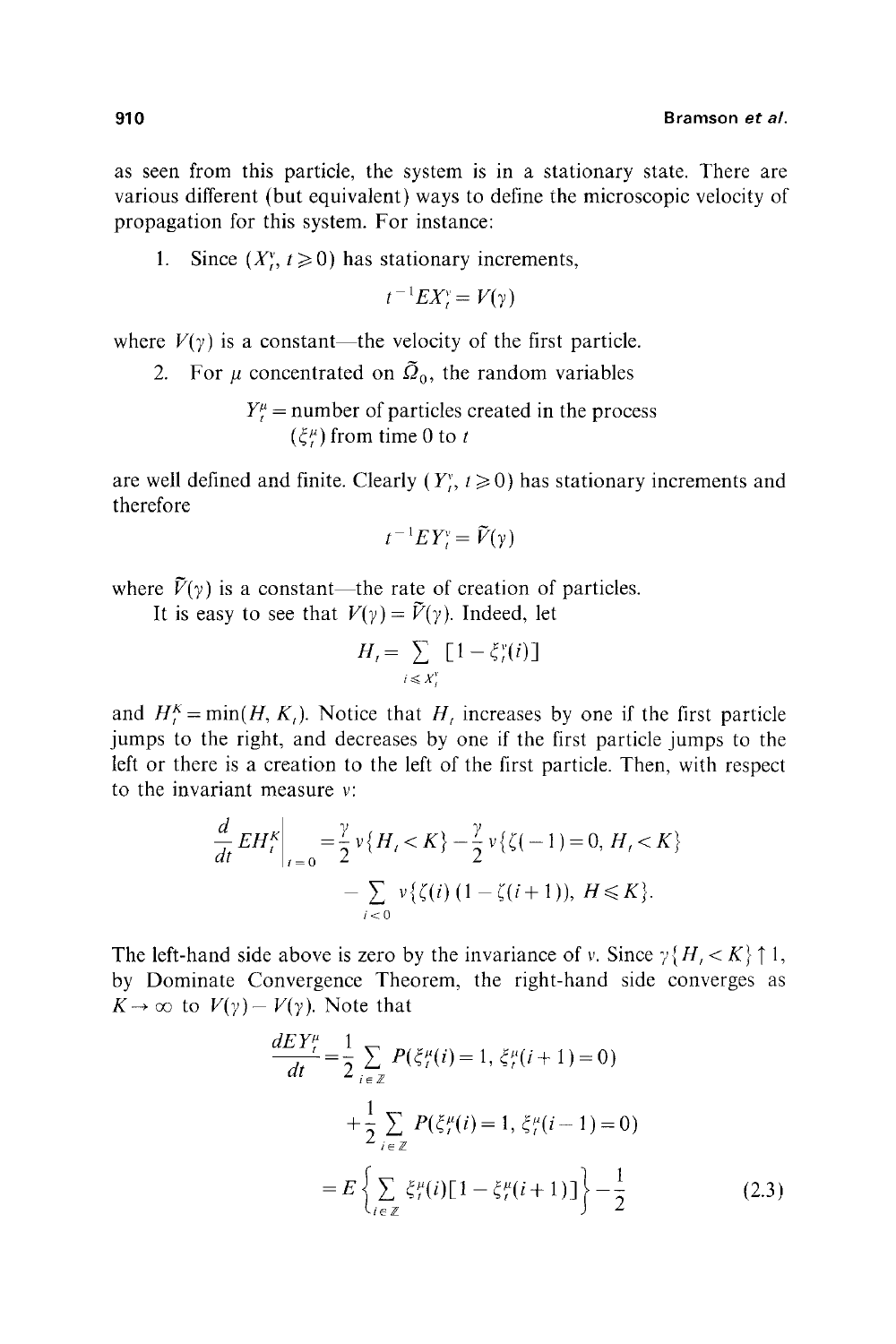as seen from this particle, the system is in a stationary state. There are various different (but equivalent) ways to define the microscopic velocity of propagation for this system. For instance:

1. Since  $(X_t^v, t\geq 0)$  has stationary increments,

$$
t^{-1}EX_t^{\gamma}=V(\gamma)
$$

where  $V(\gamma)$  is a constant—the velocity of the first particle.

2. For  $\mu$  concentrated on  $\tilde{Q}_0$ , the random variables

$$
Y_t^{\mu} =
$$
 number of particles created in the process  

$$
(\xi_t^{\mu})
$$
 from time 0 to t

are well defined and finite. Clearly  $(Y_i^r, t \ge 0)$  has stationary increments and therefore

$$
t^{-1}EY_t^{\mathfrak{v}} = \widetilde{V}(\mathfrak{y})
$$

where  $\tilde{V}(\gamma)$  is a constant—the rate of creation of particles.

It is easy to see that  $V(y) = \tilde{V}(y)$ . Indeed, let

$$
H_t = \sum_{i \leq x_t^v} \left[1 - \xi_t^v(i)\right]
$$

and  $H_t^K = \min(H, K_t)$ . Notice that  $H_t$  increases by one if the first particle jumps to the right, and decreases by one if the first particle jumps to the left or there is a creation to the left of the first particle. Then, with respect to the invariant measure v:

$$
\frac{d}{dt} EH_t^K \bigg|_{t=0} = \frac{\gamma}{2} \nu \{H_t < K\} - \frac{\gamma}{2} \nu \{\zeta(-1) = 0, H_t < K\} - \sum_{i < 0} \nu \{\zeta(i) \ (1 - \zeta(i+1)), H \leq K\}.
$$

The left-hand side above is zero by the invariance of v. Since  $\gamma\{H, \langle K \rangle \uparrow 1$ , by Dominate Convergence Theorem, the right-hand side converges as  $K \to \infty$  to  $V(\gamma) - V(\gamma)$ . Note that

$$
\frac{dEY_t^{\mu}}{dt} = \frac{1}{2} \sum_{i \in \mathbb{Z}} P(\xi_t^{\mu}(i) = 1, \xi_t^{\mu}(i+1) = 0)
$$
  
+ 
$$
\frac{1}{2} \sum_{i \in \mathbb{Z}} P(\xi_t^{\mu}(i) = 1, \xi_t^{\mu}(i-1) = 0)
$$
  
= 
$$
E\left\{ \sum_{i \in \mathbb{Z}} \xi_t^{\mu}(i)[1 - \xi_t^{\mu}(i+1)] \right\} - \frac{1}{2}
$$
 (2.3)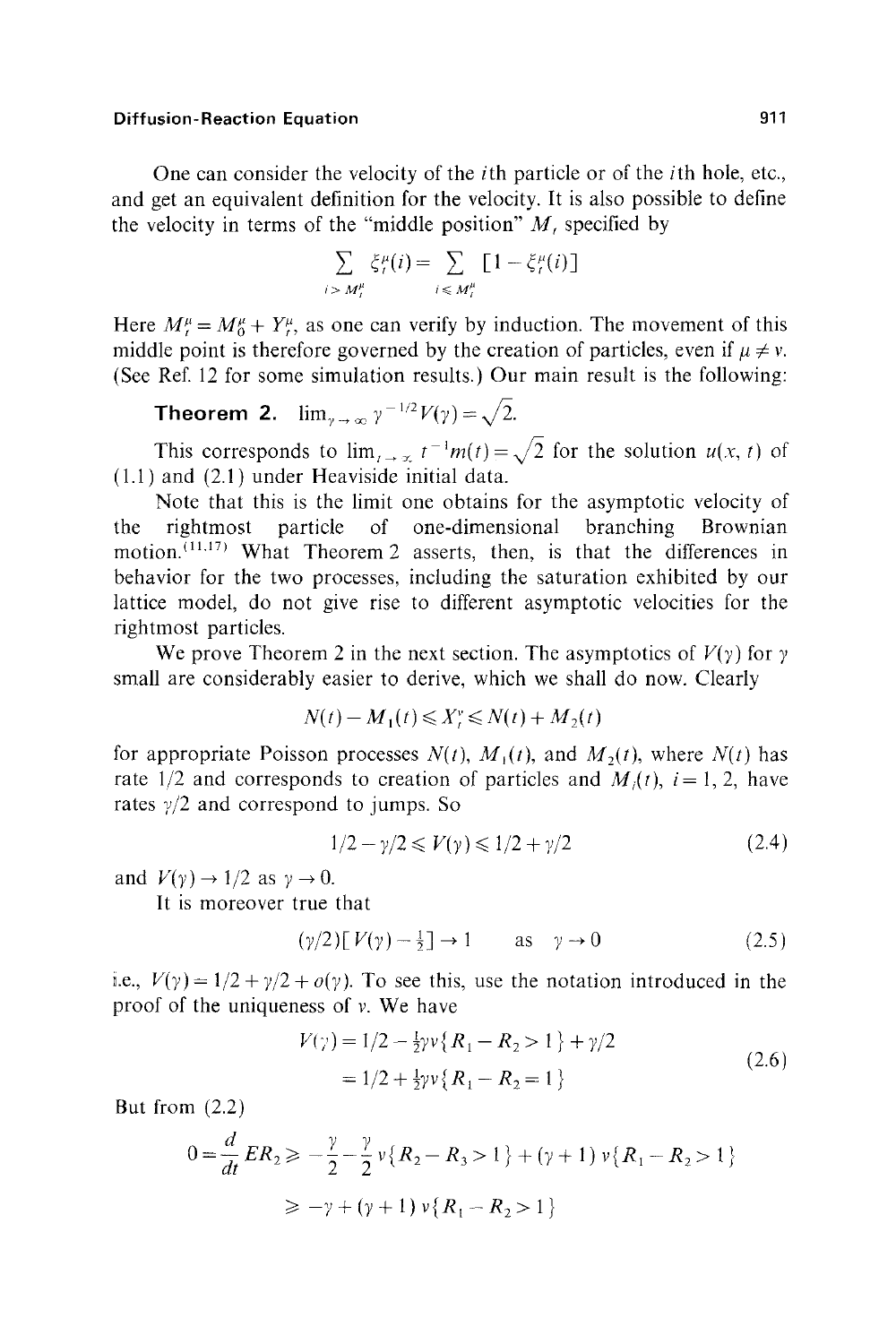One can consider the velocity of the ith particle or of the ith hole, etc., and get an equivalent definition for the velocity. It is also possible to define the velocity in terms of the "middle position"  $M$ , specified by

$$
\sum_{i \ge M_t^{\mu}} \xi_t^{\mu}(i) = \sum_{i \le M_t^{\mu}} \left[1 - \xi_t^{\mu}(i)\right]
$$

Here  $M_{t}^{\mu} = M_{0}^{\mu} + Y_{t}^{\mu}$ , as one can verify by induction. The movement of this middle point is therefore governed by the creation of particles, even if  $\mu \neq \nu$ . (See Ref. 12 for some simulation results.) Our main result is the following:

**Theorem 2.** 
$$
\lim_{\gamma \to \infty} \gamma^{-1/2} V(\gamma) = \sqrt{2}
$$
.

This corresponds to  $\lim_{t\to\infty} t^{-1}m(t)=\sqrt{2}$  for the solution  $u(x, t)$  of 1.1) and (2.1) under Heaviside initial data.

Note that this is the limit one obtains for the asymptotic velocity of the rightmost particle of one-dimensional branching Brownian motion.  $(11.17)$  What Theorem 2 asserts, then, is that the differences in behavior for the two processes, including the saturation exhibited by our lattice model, do not give rise to different asymptotic velocities for the rightmost particles.

We prove Theorem 2 in the next section. The asymptotics of  $V(y)$  for  $y$ small are considerably easier to derive, which we shall do now. Clearly

$$
N(t) - M_1(t) \leqslant X_t^v \leqslant N(t) + M_2(t)
$$

for appropriate Poisson processes  $N(t)$ ,  $M<sub>1</sub>(t)$ , and  $M<sub>2</sub>(t)$ , where  $N(t)$  has rate  $1/2$  and corresponds to creation of particles and  $M_i(t)$ ,  $i = 1, 2$ , have rates  $\gamma/2$  and correspond to jumps. So

$$
1/2 - \gamma/2 \le V(\gamma) \le 1/2 + \gamma/2 \tag{2.4}
$$

and  $V(\gamma) \rightarrow 1/2$  as  $\gamma \rightarrow 0$ .

It is moreover true that

$$
(\gamma/2)\left[\,V(\gamma)\,-\frac{1}{2}\,\right]\rightarrow 1\qquad\text{as}\quad\gamma\rightarrow 0\tag{2.5}
$$

i.e.,  $V(y) = 1/2 + \gamma/2 + o(y)$ . To see this, use the notation introduced in the proof of the uniqueness of  $\nu$ . We have

$$
V(\gamma) = 1/2 - \frac{1}{2}\gamma v \{R_1 - R_2 > 1\} + \gamma/2
$$
  
= 1/2 + \frac{1}{2}\gamma v \{R\_1 - R\_2 = 1\} (2.6)

But from (2.2)

$$
0 = \frac{d}{dt} ER_2 \geqslant -\frac{\gamma}{2} - \frac{\gamma}{2} v \{R_2 - R_3 > 1\} + (\gamma + 1) v \{R_1 - R_2 > 1\}
$$
\n
$$
\geq -\gamma + (\gamma + 1) v \{R_1 - R_2 > 1\}
$$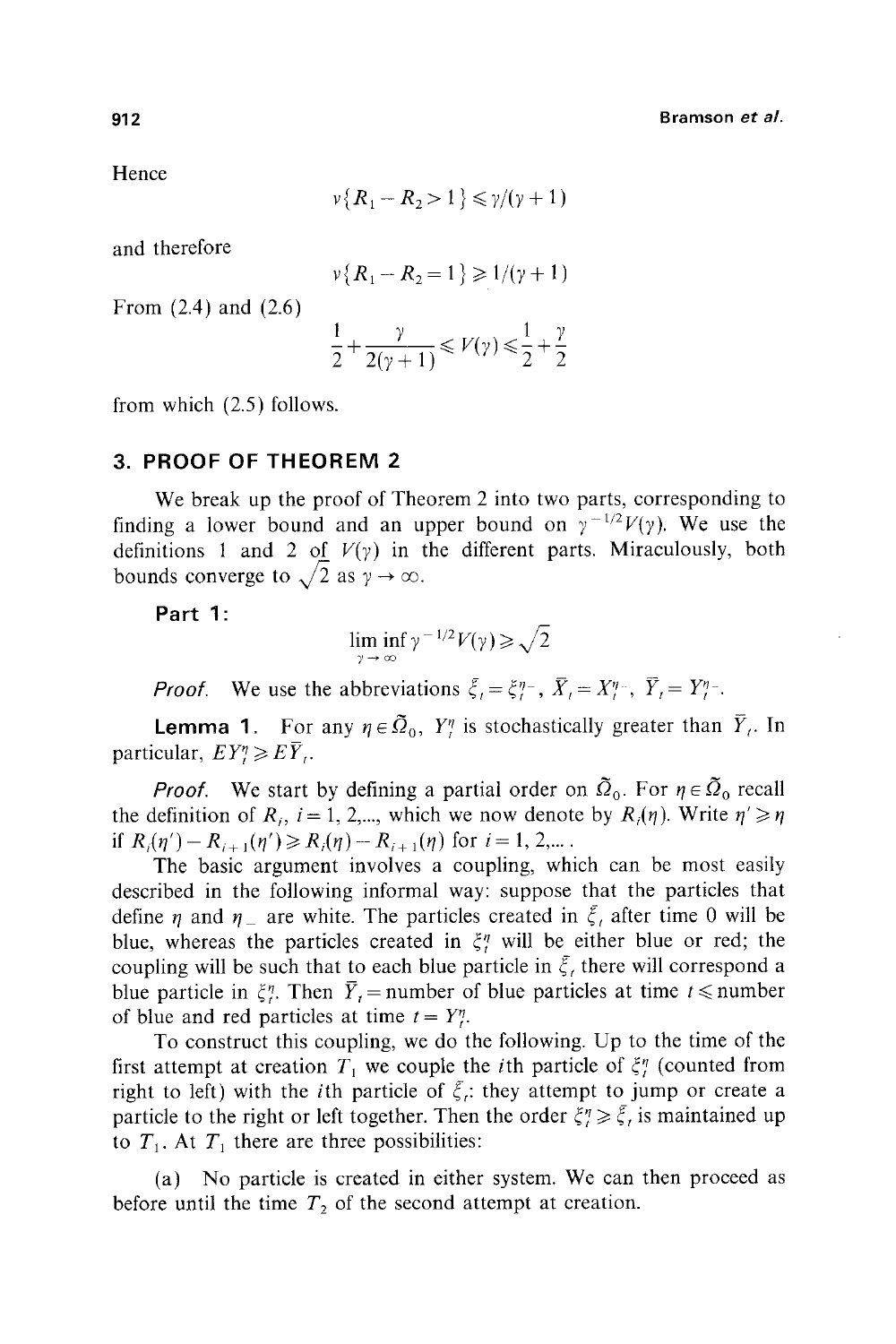Hence

$$
\nu\{R_1 - R_2 > 1\} \leq \gamma/(\gamma + 1)
$$

and therefore

$$
\nu\{R_1 - R_2 = 1\} \ge 1/(\gamma + 1)
$$

From (2.4) and (2.6)

$$
\frac{1}{2} + \frac{\gamma}{2(\gamma + 1)} \leqslant V(\gamma) \leqslant \frac{1}{2} + \frac{\gamma}{2}
$$

from which (2.5) follows.

# **3. PROOF OF THEOREM 2**

We break up the proof of Theorem 2 into two parts, corresponding to finding a lower bound and an upper bound on  $\gamma^{-1/2}V(\gamma)$ . We use the definitions 1 and 2 of  $V(y)$  in the different parts. Miraculously, both bounds converge to  $\sqrt{2}$  as  $\gamma \to \infty$ .

**Part 1:** 

$$
\liminf_{\gamma \to \infty} \gamma^{-1/2} V(\gamma) \geqslant \sqrt{2}
$$

*Proof.* We use the abbreviations  $\xi_i = \xi_i^{\eta_i}$ ,  $\overline{X}_i = X_i^{\eta_i}$ ,  $\overline{Y}_i = Y_i^{\eta_i}$ .

**Lemma 1.** For any  $\eta \in \tilde{\Omega}_0$ ,  $Y_\eta$  is stochastically greater than  $\overline{Y}_t$ . In particular,  $EY_i^{\eta} \geqslant E\overline{Y}_i$ .

*Proof.* We start by defining a partial order on  $\tilde{Q}_0$ . For  $\eta \in \tilde{Q}_0$  recall the definition of  $R_i$ ,  $i = 1, 2,...$ , which we now denote by  $R_i(\eta)$ . Write  $\eta' \ge \eta$ if  $R_i(\eta') - R_{i+1}(\eta') \ge R_i(\eta) - R_{i+1}(\eta)$  for  $i = 1, 2,...$ .

The basic argument involves a coupling, which can be most easily described in the following informal way: suppose that the particles that define *n* and *n* are white. The particles created in  $\xi$ , after time 0 will be blue, whereas the particles created in  $\xi_i^n$  will be either blue or red; the coupling will be such that to each blue particle in  $\zeta$ , there will correspond a blue particle in  $\zeta$ . Then  $\overline{Y}_r$  = number of blue particles at time  $t \leq$  number of blue and red particles at time  $t = Y^n_t$ .

To construct this coupling, we do the following. Up to the time of the first attempt at creation  $T_1$  we couple the *i*th particle of  $\xi$ <sup>*n*</sup> (counted from right to left) with the *i*th particle of  $\xi_i$ : they attempt to jump or create a particle to the right or left together. Then the order  $\zeta_i^{\eta} \geq \zeta_i$  is maintained up to  $T_1$ . At  $T_1$  there are three possibilities:

(a) No particle is created in either system. We can then proceed as before until the time  $T_2$  of the second attempt at creation.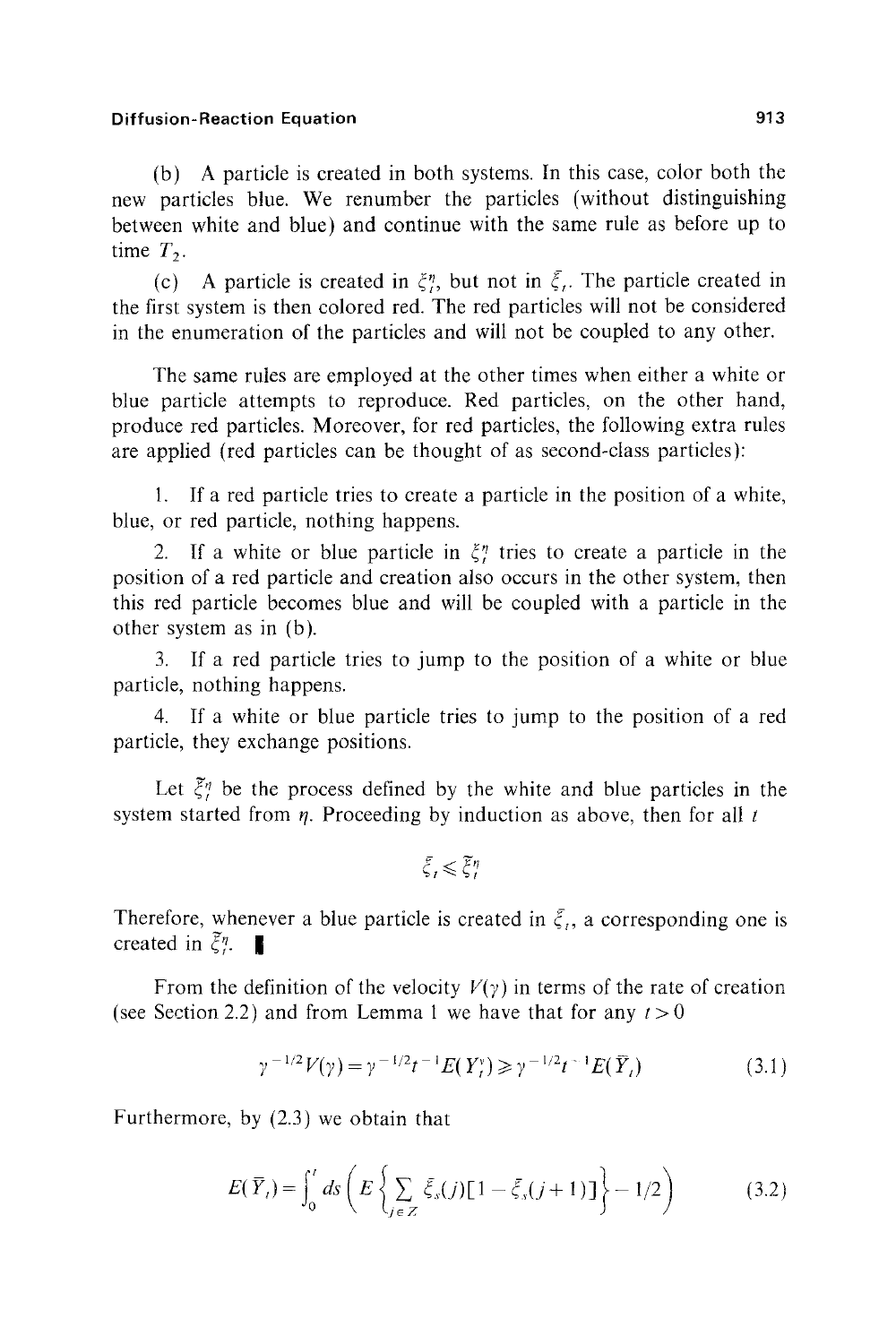(b) A particle is created in both systems. In this case, color both the new particles blue. We renumber the particles (without distinguishing between white and blue) and continue with the same rule as before up to time  $T_2$ .

(c) A particle is created in  $\xi_i$ , but not in  $\xi_i$ . The particle created in the first system is then colored red. The red particles will not be considered in the enumeration of the particles and will not be coupled to any other.

The same rules are employed at the other times when either a white or blue particle attempts to reproduce. Red particles, on the other hand, produce red particles. Moreover, for red particles, the following extra rules are applied (red particles can be thought of as second-class particles):

1. If a red particle tries to create a particle in the position of a white, blue, or red particle, nothing happens.

2. If a white or blue particle in  $\xi_i^n$  tries to create a particle in the position of a red particle and creation also occurs in the other system, then this red particle becomes blue and will be coupled with a particle in the other system as in (b).

3. If a red particle tries to jump to the position of a white or blue particle, nothing happens.

4. If a white or blue particle tries to jump to the position of a red particle, they exchange positions.

Let  $\tilde{\xi}_i^n$  be the process defined by the white and blue particles in the system started from  $\eta$ . Proceeding by induction as above, then for all t

$$
\bar{\xi}_t \! \leqslant \! \overline{\xi}_t^{\eta}
$$

Therefore, whenever a blue particle is created in  $\xi_i$ , a corresponding one is created in  $\tilde{\xi}^{\eta}$ .

From the definition of the velocity  $V(y)$  in terms of the rate of creation (see Section 2.2) and from Lemma 1 we have that for any  $t>0$ 

$$
\gamma^{-1/2} V(\gamma) = \gamma^{-1/2} t^{-1} E(Y_t^{\nu}) \ge \gamma^{-1/2} t^{-1} E(\bar{Y}_t)
$$
\n(3.1)

Furthermore, by (2.3) we obtain that

$$
E(\overline{Y}_i) = \int_0^t ds \left( E \left\{ \sum_{j \in Z} \overline{\xi}_s(j) [1 - \overline{\xi}_s(j+1)] \right\} - 1/2 \right) \tag{3.2}
$$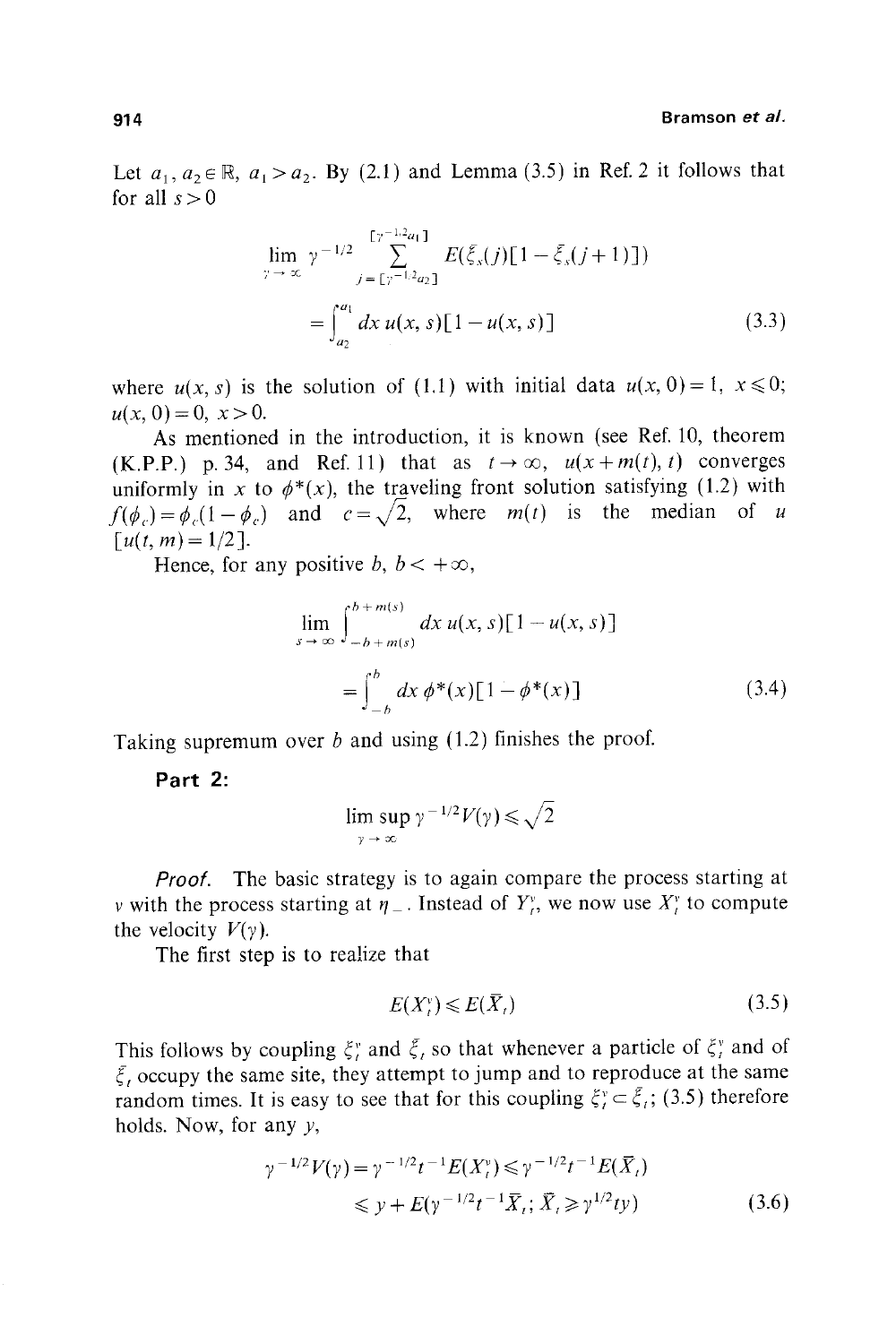Let  $a_1, a_2 \in \mathbb{R}$ ,  $a_1 > a_2$ . By (2.1) and Lemma (3.5) in Ref. 2 it follows that for all  $s > 0$ 

$$
\lim_{\gamma \to \infty} \gamma^{-1/2} \sum_{j=\lfloor \gamma^{-1/2} a_1 \rfloor}^{\lfloor \gamma^{-1/2} a_1 \rfloor} E(\bar{\xi}_s(j)[1-\bar{\xi}_s(j+1)])
$$
\n
$$
= \int_{a_2}^{a_1} dx \, u(x,s)[1-u(x,s)] \tag{3.3}
$$

where  $u(x, s)$  is the solution of (1.1) with initial data  $u(x, 0) = 1$ ,  $x \le 0$ ;  $u(x, 0) = 0, x > 0.$ 

As mentioned in the introduction, it is known (see Ref. 10, theorem (K.P.P.) p. 34, and Ref. 11) that as  $t \to \infty$ ,  $u(x+m(t),t)$  converges uniformly in x to  $\phi^*(x)$ , the traveling front solution satisfying (1.2) with  $f(\phi_c)=\dot{\phi}_c(1-\phi_c)$  and  $c=\sqrt{2}$ , where  $m(t)$  is the median of u  $\lceil u(t, m) = 1/2 \rceil$ .

Hence, for any positive b,  $b < +\infty$ ,

$$
\lim_{s \to \infty} \int_{-b + m(s)}^{b + m(s)} dx \, u(x, s) [1 - u(x, s)]
$$
\n
$$
= \int_{-b}^{b} dx \, \phi^*(x) [1 - \phi^*(x)] \qquad (3.4)
$$

Taking supremum over  $b$  and using  $(1.2)$  finishes the proof.

**Part 2:** 

$$
\limsup_{\gamma \to \infty} \gamma^{-1/2} V(\gamma) \leqslant \sqrt{2}
$$

*Proof.* The basic strategy is to again compare the process starting at v with the process starting at  $\eta_{-}$ . Instead of  $Y_i^v$ , we now use  $X_i^v$  to compute the velocity  $V(y)$ .

The first step is to realize that

$$
E(X_t^{\nu}) \leqslant E(\bar{X}_t) \tag{3.5}
$$

This follows by coupling  $\xi_i^v$  and  $\xi_i$  so that whenever a particle of  $\xi_i^v$  and of  $\xi$ , occupy the same site, they attempt to jump and to reproduce at the same random times. It is easy to see that for this coupling  $\xi_i^v \in \xi_i$ ; (3.5) therefore holds. Now, for any  $y$ ,

$$
\gamma^{-1/2} V(\gamma) = \gamma^{-1/2} t^{-1} E(X_t^{\gamma}) \le \gamma^{-1/2} t^{-1} E(\bar{X}_t)
$$
  
 
$$
\le y + E(\gamma^{-1/2} t^{-1} \bar{X}_t; \bar{X}_t \ge \gamma^{1/2} t y)
$$
 (3.6)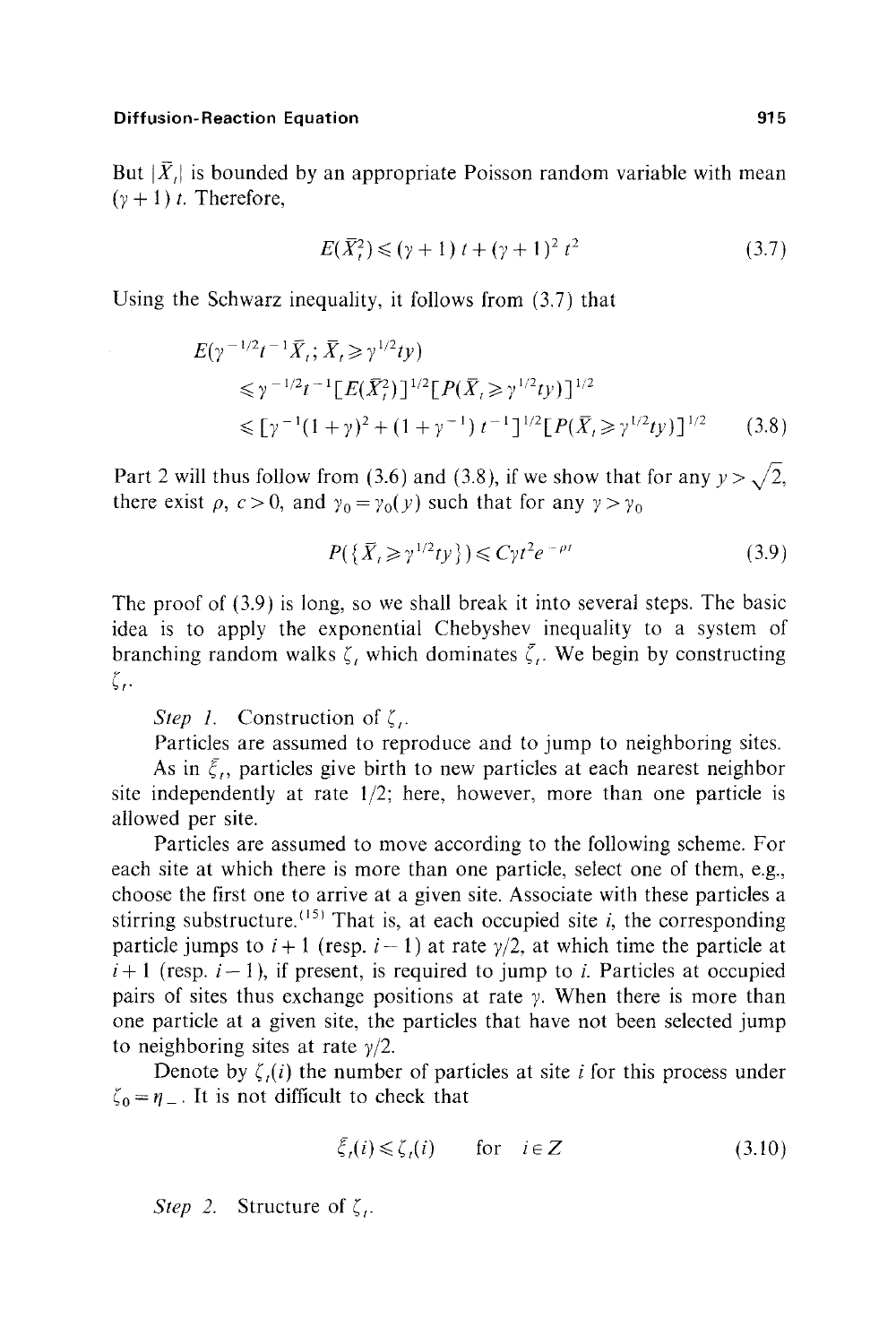But  $|\bar{X}_i|$  is bounded by an appropriate Poisson random variable with mean  $(y + 1)$  t. Therefore,

$$
E(\bar{X}_t^2) \le (\gamma + 1) t + (\gamma + 1)^2 t^2 \tag{3.7}
$$

Using the Schwarz inequality, it follows from (3.7) that

$$
E(\gamma^{-1/2}t^{-1}\bar{X}_t; \bar{X}_t \ge \gamma^{1/2}ty)
$$
  
\n
$$
\le \gamma^{-1/2}t^{-1}[E(\bar{X}_t^2)]^{1/2}[P(\bar{X}_t \ge \gamma^{1/2}ty)]^{1/2}
$$
  
\n
$$
\le [\gamma^{-1}(1+\gamma)^2 + (1+\gamma^{-1})t^{-1}]^{1/2}[P(\bar{X}_t \ge \gamma^{1/2}ty)]^{1/2}
$$
 (3.8)

Part 2 will thus follow from (3.6) and (3.8), if we show that for any  $y > \sqrt{2}$ , there exist  $\rho$ ,  $c > 0$ , and  $\gamma_0 = \gamma_0(y)$  such that for any  $\gamma > \gamma_0$ 

$$
P(\{\bar{X}_t \ge \gamma^{1/2}ty\}) \le C\gamma t^2 e^{-\rho t}
$$
\n(3.9)

The proof of (3.9) is long, so we shall break it into several steps. The basic idea is to apply the exponential Chebyshev inequality to a system of branching random walks  $\zeta$ , which dominates  $\zeta$ . We begin by constructing ζ,

*Step 1.* Construction of  $\zeta$ .

Particles are assumed to reproduce and to jump to neighboring sites.

As in  $\zeta$ , particles give birth to new particles at each nearest neighbor site independently at rate *1/2;* here, however, more than one particle is allowed per site.

Particles are assumed to move according to the following scheme. For each site at which there is more than one particle, select one of them, e.g., choose the first one to arrive at a given site. Associate with these particles a stirring substructure.  $(15)$  That is, at each occupied site *i*, the corresponding particle jumps to  $i + 1$  (resp.  $i - 1$ ) at rate  $\gamma/2$ , at which time the particle at  $i+1$  (resp.  $i-1$ ), if present, is required to jump to i. Particles at occupied pairs of sites thus exchange positions at rate  $\gamma$ . When there is more than one particle at a given site, the particles that have not been selected jump to neighboring sites at rate  $\gamma/2$ .

Denote by  $\zeta_i(i)$  the number of particles at site i for this process under  $\zeta_0 = \eta_{-}$ . It is not difficult to check that

$$
\bar{\xi}_i(i) \leq \zeta_i(i) \qquad \text{for} \quad i \in \mathbb{Z} \tag{3.10}
$$

*Step 2.* Structure of  $\zeta$ .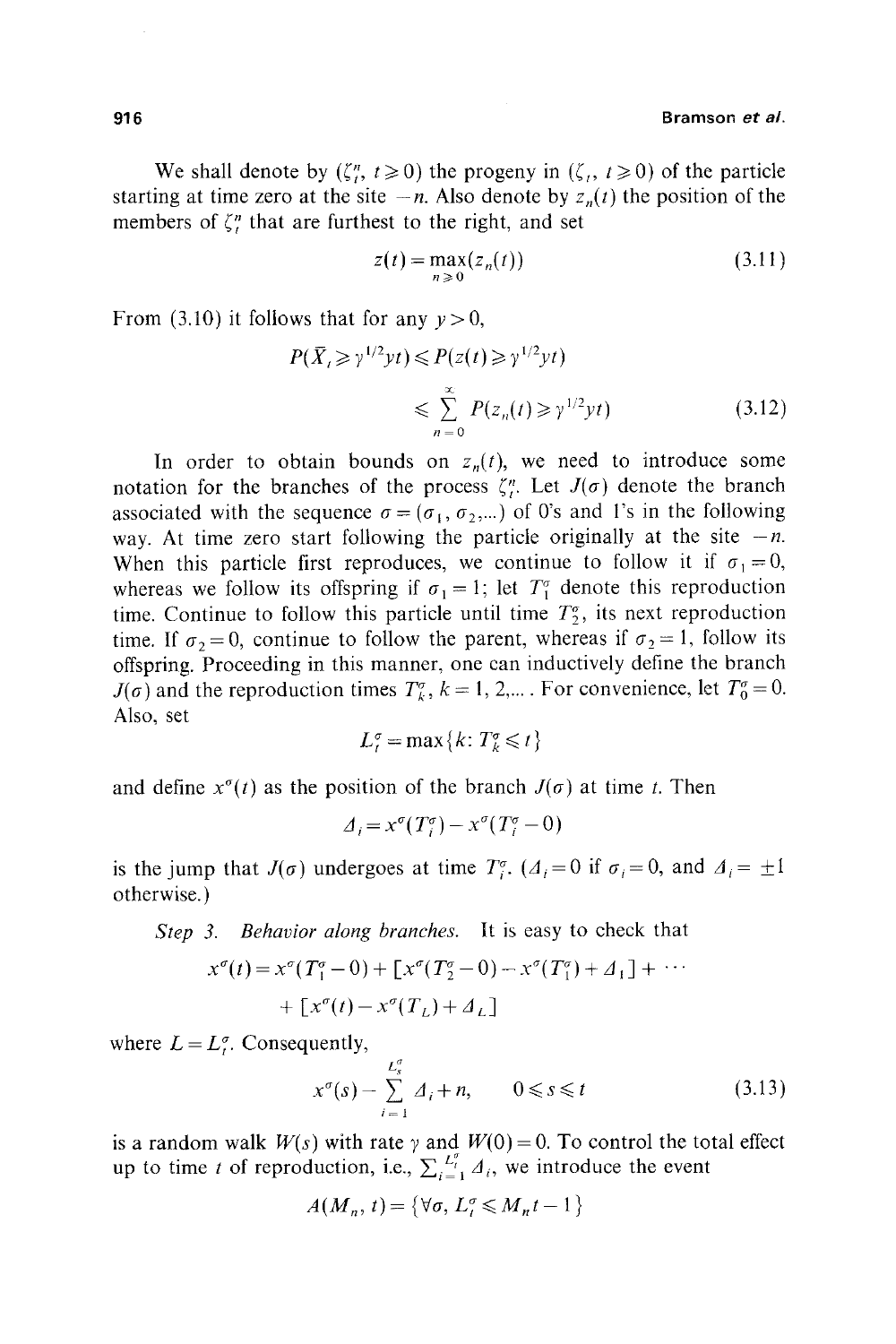We shall denote by  $(\zeta_{t}^{n}, t \ge 0)$  the progeny in  $(\zeta_{t}, t \ge 0)$  of the particle starting at time zero at the site  $-n$ . Also denote by  $z_n(t)$  the position of the members of  $\zeta_t^n$  that are furthest to the right, and set

$$
z(t) = \max_{n \ge 0} (z_n(t))
$$
\n(3.11)

From (3.10) it follows that for any  $y > 0$ ,

$$
P(\bar{X}_t \ge \gamma^{1/2}yt) \le P(z(t) \ge \gamma^{1/2}yt)
$$
  
\$\le \sum\_{n=0}^{\infty} P(z\_n(t) \ge \gamma^{1/2}yt)\$ (3.12)

In order to obtain bounds on  $z_n(t)$ , we need to introduce some notation for the branches of the process  $\zeta_i^n$ . Let  $J(\sigma)$  denote the branch associated with the sequence  $\sigma = (\sigma_1, \sigma_2,...)$  of O's and l's in the following way. At time zero start following the particle originally at the site  $-n$ . When this particle first reproduces, we continue to follow it if  $\sigma_1 = 0$ , whereas we follow its offspring if  $\sigma_1 = 1$ ; let  $T_1^{\sigma}$  denote this reproduction time. Continue to follow this particle until time  $T_2^{\sigma}$ , its next reproduction time. If  $\sigma_2 = 0$ , continue to follow the parent, whereas if  $\sigma_2 = 1$ , follow its offspring. Proceeding in this manner, one can inductively define the branch  $J(\sigma)$  and the reproduction times  $T_k^{\sigma}$ ,  $k = 1, 2,...$ . For convenience, let  $T_0^{\sigma} = 0$ . Also, set

$$
L_t^{\sigma} = \max\{k: T_k^{\sigma} \leq t\}
$$

and define  $x^{\sigma}(t)$  as the position of the branch  $J(\sigma)$  at time t. Then

$$
\Delta_i = x^{\sigma}(T_i^{\sigma}) - x^{\sigma}(T_i^{\sigma} - 0)
$$

is the jump that  $J(\sigma)$  undergoes at time  $T_i^{\sigma}$ . ( $A_i=0$  if  $\sigma_i=0$ , and  $A_i=\pm 1$ otherwise.)

*Step 3. Behavior along branches.* It is easy to check that

$$
x^{\sigma}(t) = x^{\sigma}(T_1^{\sigma} - 0) + [x^{\sigma}(T_2^{\sigma} - 0) - x^{\sigma}(T_1^{\sigma}) + \Delta_1] + \cdots
$$
  
+ 
$$
[x^{\sigma}(t) - x^{\sigma}(T_L) + \Delta_L]
$$

where  $L = L^{\sigma}$ . Consequently,

$$
x^{\sigma}(s) - \sum_{i=1}^{L_s^{\sigma}} \Delta_i + n, \qquad 0 \le s \le t \tag{3.13}
$$

is a random walk  $W(s)$  with rate  $\gamma$  and  $W(0) = 0$ . To control the total effect up to time t of reproduction, i.e.,  $\sum_{i=1}^{L^p_i} A_i$ , we introduce the event

$$
A(M_n, t) = \{ \forall \sigma, L_t^{\sigma} \leqslant M_n t - 1 \}
$$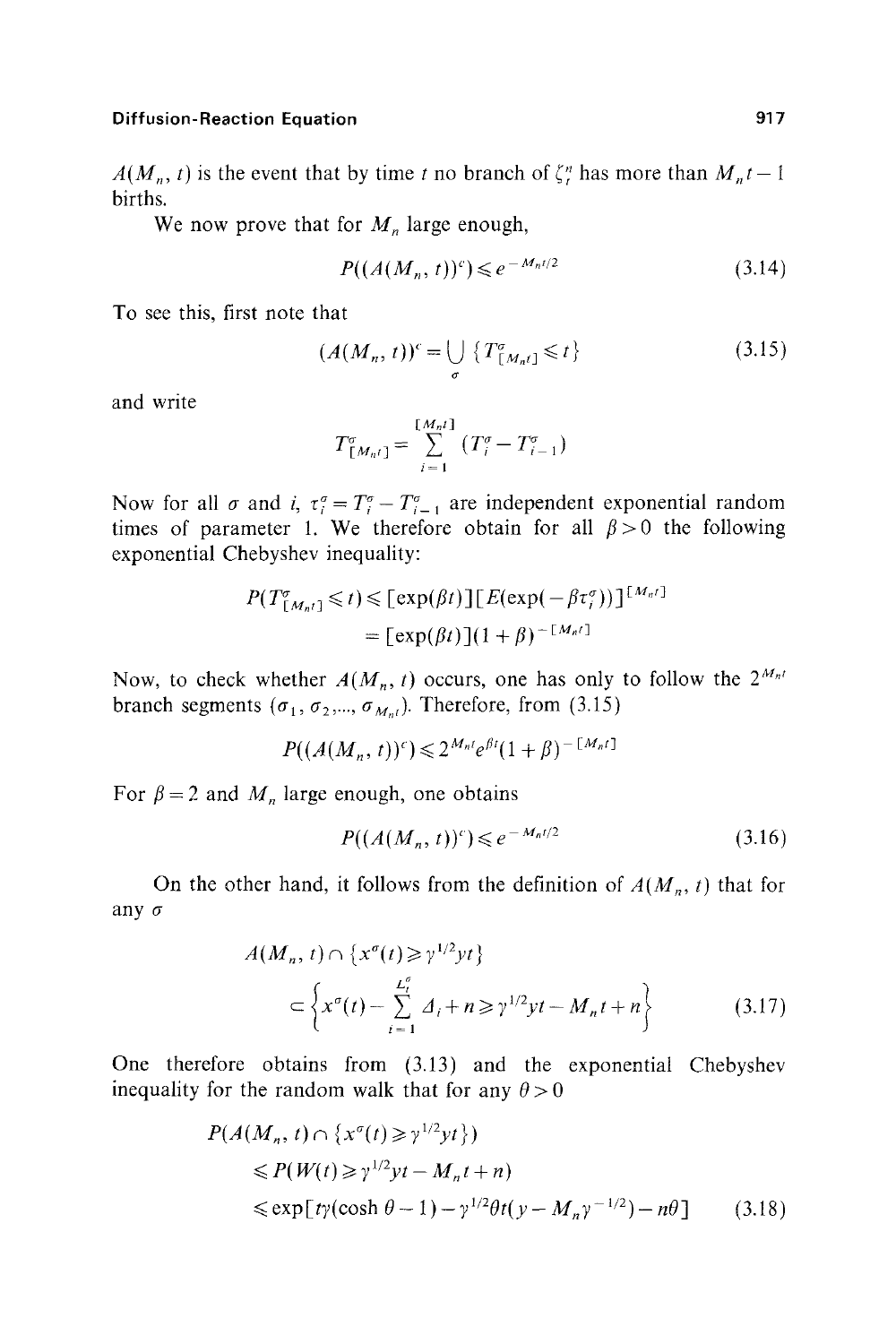$A(M_n, t)$  is the event that by time t no branch of  $\zeta_i^n$  has more than  $M_n t - 1$ births.

We now prove that for  $M_n$  large enough,

$$
P((A(M_n, t))^c) \le e^{-M_n t/2}
$$
\n(3.14)

To see this, first note that

$$
(A(M_n, t))^c = \bigcup_{\sigma} \left\{ T^{\sigma}_{[M_n t]} \leq t \right\} \tag{3.15}
$$

and write

$$
T_{[M_{n}t]}^{\sigma} = \sum_{i=1}^{[M_{n}t]} (T_{i}^{\sigma} - T_{i-1}^{\sigma})
$$

Now for all  $\sigma$  and i,  $\tau_i^{\sigma} = T_i^{\sigma} - T_{i-1}^{\sigma}$  are independent exponential random times of parameter 1. We therefore obtain for all  $\beta > 0$  the following exponential Chebyshev inequality:

$$
P(T^{\sigma}_{\lfloor M_{n'}\rfloor} \leq t) \leq [\exp(\beta t)][E(\exp(-\beta \tau^{\sigma}_{i}))]^{[M_{n'}]}
$$
  
= [\exp(\beta t)](1 + \beta)^{-[M\_{n'}]}

Now, to check whether  $A(M_n, t)$  occurs, one has only to follow the  $2^{M_{n}t}$ branch segments ( $\sigma_1$ ,  $\sigma_2$ ,...,  $\sigma_{M_{\text{ref}}}$ ). Therefore, from (3.15)

$$
P((A(M_n, t))^c) \leqslant 2^{M_n t} e^{\beta t} (1+\beta)^{-\lfloor M_n t \rfloor}
$$

For  $\beta = 2$  and  $M_n$  large enough, one obtains

$$
P((A(M_n, t))^c) \leq e^{-M_n t/2} \tag{3.16}
$$

On the other hand, it follows from the definition of  $A(M_n, t)$  that for any o

$$
A(M_n, t) \cap \left\{ x^{\sigma}(t) \ge \gamma^{1/2} y t \right\}
$$
  

$$
\subset \left\{ x^{\sigma}(t) - \sum_{i=1}^{L_n^{\sigma}} A_i + n \ge \gamma^{1/2} y t - M_n t + n \right\}
$$
(3.17)

One therefore obtains from (3.13) and the exponential Chebyshev inequality for the random walk that for any  $\theta > 0$ 

$$
P(A(M_n, t) \cap \{x^{\sigma}(t) \ge y^{1/2}yt\})
$$
  
\n
$$
\le P(W(t) \ge y^{1/2}yt - M_nt + n)
$$
  
\n
$$
\le \exp[t\gamma(\cosh \theta - 1) - \gamma^{1/2}\theta t(y - M_n\gamma^{-1/2}) - n\theta]
$$
 (3.18)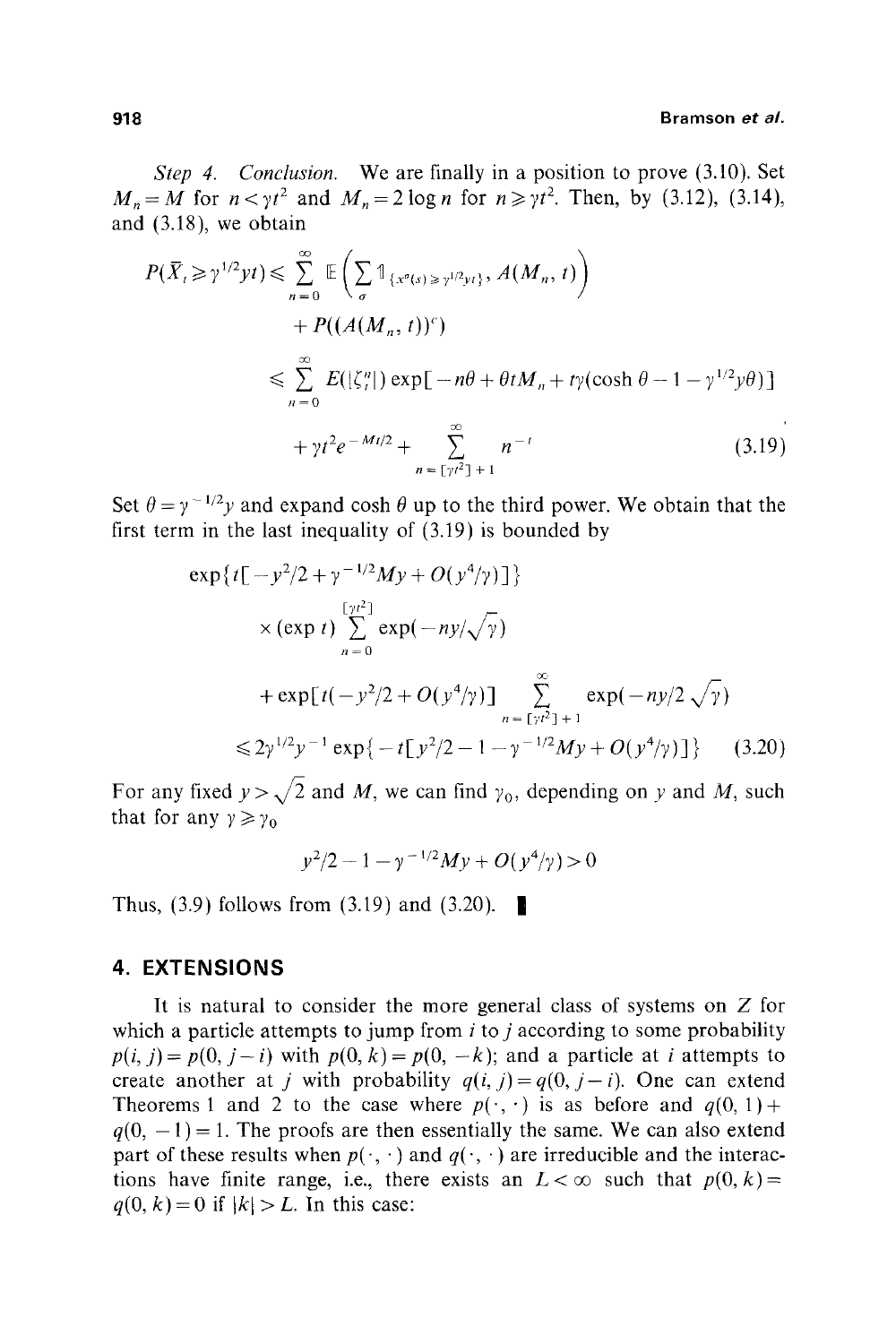#### **918 Bramson** *et al.*

*Step 4. Conclusion.* We are finally in a position to prove (3.10). Set  $M_n = M$  for  $n < \gamma t^2$  and  $M_n = 2 \log n$  for  $n \ge \gamma t^2$ . Then, by (3.12), (3.14), and (3.18), we obtain

$$
P(\overline{X}_t \ge \gamma^{1/2} yt) \le \sum_{n=0}^{\infty} \mathbb{E} \left( \sum_{\sigma} \mathbb{1}_{\{x^{\sigma}(s) \ge \gamma^{1/2} yt\}}, A(M_n, t) \right)
$$
  
+  $P((A(M_n, t))^c)$   

$$
\le \sum_{n=0}^{\infty} E(|\zeta^n|) \exp[-n\theta + \theta t M_n + t \gamma(\cosh \theta - 1 - \gamma^{1/2} y \theta)]
$$
  
+  $\gamma t^2 e^{-Mt/2} + \sum_{n=\lfloor yt^2 \rfloor + 1}^{\infty} n^{-t}$  (3.19)

Set  $\theta = y^{-1/2}y$  and expand cosh  $\theta$  up to the third power. We obtain that the first term in the last inequality of (3.19) is bounded by

$$
\exp\{t[-y^2/2 + \gamma^{-1/2}My + O(y^4/\gamma)]\}
$$
  
\n
$$
\times (\exp t) \sum_{n=0}^{\lceil \gamma l^2 \rceil} \exp(-ny/\sqrt{\gamma})
$$
  
\n
$$
+ \exp[t(-y^2/2 + O(y^4/\gamma))] \sum_{n=\lceil \gamma l^2 \rceil+1}^{\infty} \exp(-ny/2\sqrt{\gamma})
$$
  
\n
$$
\leq 2\gamma^{1/2}y^{-1} \exp\{-t[y^2/2 - 1 - \gamma^{-1/2}My + O(y^4/\gamma)]\}
$$
(3.20)

For any fixed  $y > \sqrt{2}$  and M, we can find  $y_0$ , depending on y and M, such that for any  $\gamma \ge \gamma_0$ 

$$
y^2/2 - 1 - \gamma^{-1/2}My + O(y^4/\gamma) > 0
$$

Thus, (3.9) follows from (3.19) and (3.20).  $\blacksquare$ 

# **4. EXTENSIONS**

It is natural to consider the more general class of systems on Z for which a particle attempts to jump from  $i$  to  $j$  according to some probability  $p(i, j) = p(0, j - i)$  with  $p(0, k) = p(0, -k)$ ; and a particle at i attempts to create another at *j* with probability  $q(i, j) = q(0, j - i)$ . One can extend Theorems 1 and 2 to the case where  $p(\cdot, \cdot)$  is as before and  $q(0, 1)$  +  $q(0, -1) = 1$ . The proofs are then essentially the same. We can also extend part of these results when  $p(\cdot, \cdot)$  and  $q(\cdot, \cdot)$  are irreducible and the interactions have finite range, i.e., there exists an  $L < \infty$  such that  $p(0, k) =$  $q(0, k) = 0$  if  $|k| > L$ . In this case: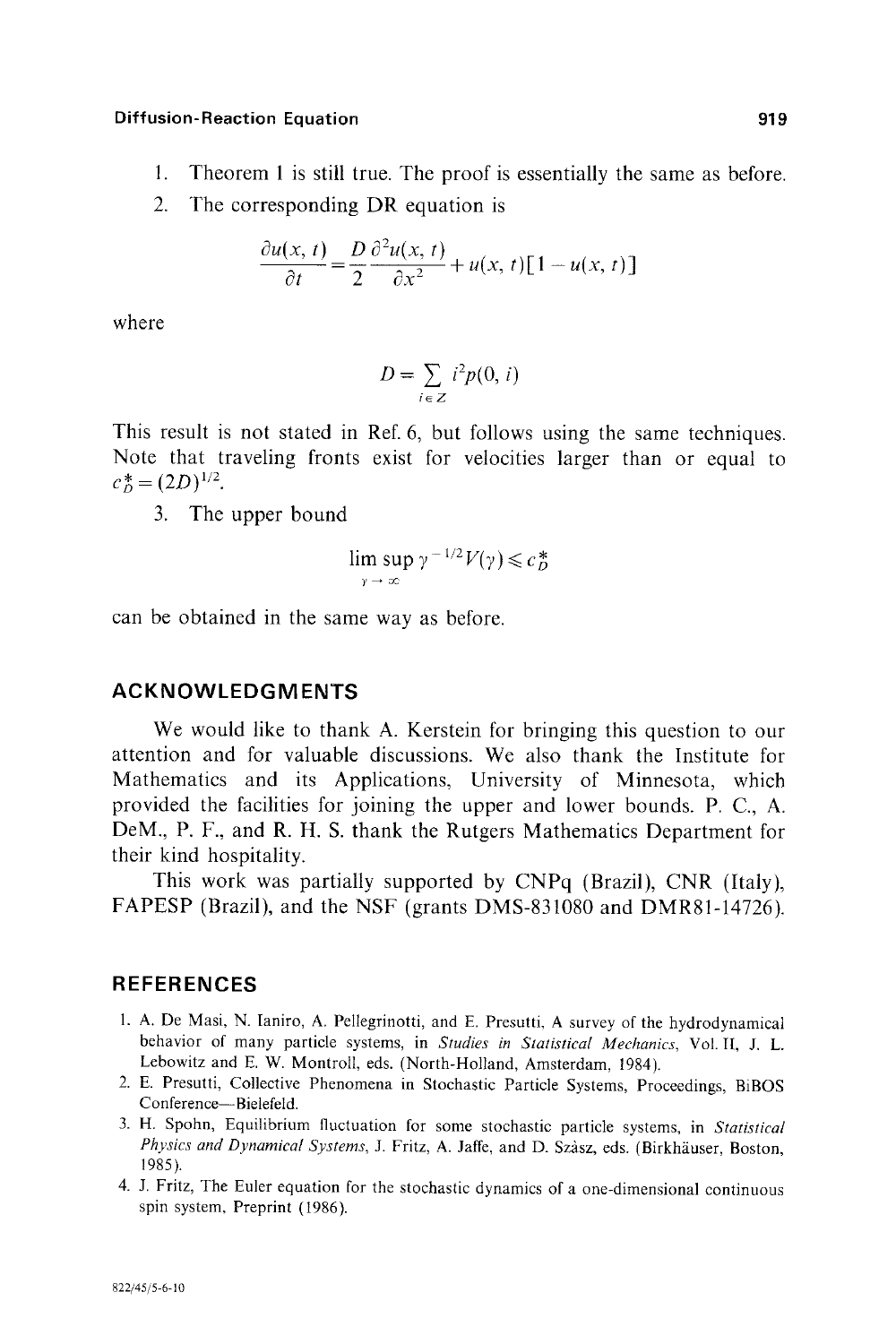- 1. Theorem 1 is still true. The proof is essentially the same as before.
- 2. The corresponding DR equation is

$$
\frac{\partial u(x,\,t)}{\partial t} = \frac{D}{2} \frac{\partial^2 u(x,\,t)}{\partial x^2} + u(x,\,t) \left[1 - u(x,\,t)\right]
$$

where

$$
D = \sum_{i \in Z} i^2 p(0, i)
$$

This result is not stated in Ref. 6, but follows using the same techniques. Note that traveling fronts exist for velocities larger than or equal to  $c_D^* = (2D)^{1/2}$ .

3. The upper bound

$$
\limsup_{\gamma \to \infty} \gamma^{-1/2} V(\gamma) \leqslant c_D^*
$$

can be obtained in the same way as before.

# **ACKNOWLEDGMENTS**

We would like to thank A. Kerstein for bringing this question to our attention and for valuable discussions. We also thank the Institute for Mathematics and its Applications, University of Minnesota, which provided the facilities for joining the upper and lower bounds. P. C., A. DeM., P. F., and R. H. S. thank the Rutgers Mathematics Department for their kind hospitality.

This work was partially supported by CNPq (Brazil), CNR (Italy), FAPESP (Brazil), and the NSF (grants DMS-831080 and DMR81-14726).

# **REFERENCES**

- 1. A. De Masi, N. Ianiro, A. Pellegrinotti, and E. Presutti, A survey of the hydrodynamical behavior of many particle systems, in *Studies in Statistical Mechanics,* Vol. II, J. L. Lebowitz and E. W. Montroll, eds. (North-Holland, Amsterdam, 1984).
- 2. E. Presutti, Collective Phenomena in Stochastic Particle Systems, Proceedings, BiBOS Conference-Bielefeld.
- 3. H. Spohn, Equilibrium fluctuation for some stochastic particle systems, in *Statistical*  Physics and Dynamical Systems, J. Fritz, A. Jaffe, and D. Szàsz, eds. (Birkhäuser, Boston, 1985).
- 4. J. Fritz, The Euler equation for the stochastic dynamics of a one-dimensional continuous spin system, Preprint (1986).